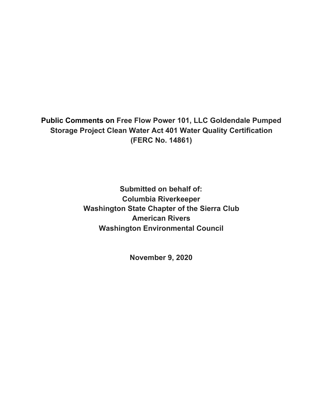**Public Comments on Free Flow Power 101, LLC Goldendale Pumped Storage Project Clean Water Act 401 Water Quality Certification (FERC No. 14861)**

> **Submitted on behalf of: Columbia Riverkeeper Washington State Chapter of the Sierra Club American Rivers Washington Environmental Council**

> > **November 9, 2020**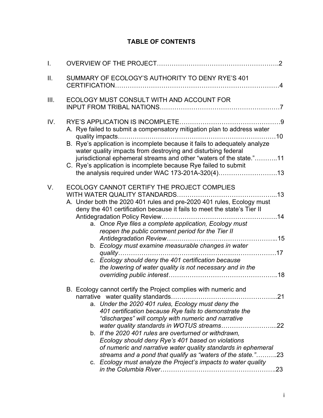# **TABLE OF CONTENTS**

| I.  |                                                                                                                                                                                                                                                                                                                                                                                                                                                                                           |
|-----|-------------------------------------------------------------------------------------------------------------------------------------------------------------------------------------------------------------------------------------------------------------------------------------------------------------------------------------------------------------------------------------------------------------------------------------------------------------------------------------------|
| ΙΙ. | SUMMARY OF ECOLOGY'S AUTHORITY TO DENY RYE'S 401                                                                                                                                                                                                                                                                                                                                                                                                                                          |
| Ш.  | ECOLOGY MUST CONSULT WITH AND ACCOUNT FOR                                                                                                                                                                                                                                                                                                                                                                                                                                                 |
| IV. | A. Rye failed to submit a compensatory mitigation plan to address water<br>B. Rye's application is incomplete because it fails to adequately analyze<br>water quality impacts from destroying and disturbing federal<br>jurisdictional ephemeral streams and other "waters of the state."11<br>C. Rye's application is incomplete because Rye failed to submit<br>the analysis required under WAC 173-201A-320(4)13                                                                       |
| V.  | ECOLOGY CANNOT CERTIFY THE PROJECT COMPLIES<br>A. Under both the 2020 401 rules and pre-2020 401 rules, Ecology must<br>deny the 401 certification because it fails to meet the state's Tier II<br>a. Once Rye files a complete application, Ecology must<br>reopen the public comment period for the Tier II<br>b. Ecology must examine measurable changes in water<br>c. Ecology should deny the 401 certification because<br>the lowering of water quality is not necessary and in the |
|     | B. Ecology cannot certify the Project complies with numeric and<br>a. Under the 2020 401 rules, Ecology must deny the<br>401 certification because Rye fails to demonstrate the<br>"discharges" will comply with numeric and narrative<br>b. If the 2020 401 rules are overturned or withdrawn,<br>Ecology should deny Rye's 401 based on violations                                                                                                                                      |
|     | of numeric and narrative water quality standards in ephemeral<br>streams and a pond that qualify as "waters of the state."23<br>c. Ecology must analyze the Project's impacts to water quality                                                                                                                                                                                                                                                                                            |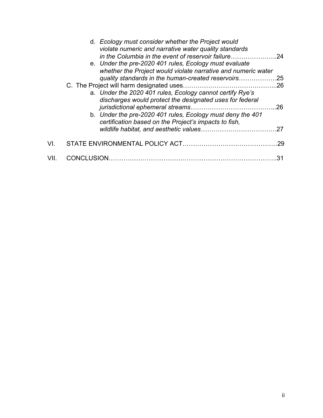|     | d. Ecology must consider whether the Project would<br>violate numeric and narrative water quality standards<br>in the Columbia in the event of reservoir failure24<br>e. Under the pre-2020 401 rules, Ecology must evaluate<br>whether the Project would violate narrative and numeric water |     |
|-----|-----------------------------------------------------------------------------------------------------------------------------------------------------------------------------------------------------------------------------------------------------------------------------------------------|-----|
|     | quality standards in the human-created reservoirs                                                                                                                                                                                                                                             | .25 |
|     |                                                                                                                                                                                                                                                                                               | .26 |
|     | a. Under the 2020 401 rules, Ecology cannot certify Rye's<br>discharges would protect the designated uses for federal                                                                                                                                                                         | .26 |
|     | b. Under the pre-2020 401 rules, Ecology must deny the 401<br>certification based on the Project's impacts to fish,                                                                                                                                                                           |     |
|     |                                                                                                                                                                                                                                                                                               |     |
| VI. |                                                                                                                                                                                                                                                                                               | .29 |
|     | CONCLUSION                                                                                                                                                                                                                                                                                    |     |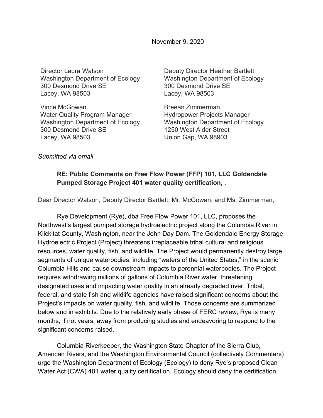November 9, 2020

Director Laura Watson Washington Department of Ecology 300 Desmond Drive SE Lacey, WA 98503

Vince McGowan Water Quality Program Manager Washington Department of Ecology 300 Desmond Drive SE Lacey, WA 98503

Deputy Director Heather Bartlett Washington Department of Ecology 300 Desmond Drive SE Lacey, WA 98503

Breean Zimmerman Hydropower Projects Manager Washington Department of Ecology 1250 West Alder Street Union Gap, WA 98903

*Submitted via email*

#### **RE: Public Comments on Free Flow Power (FFP) 101, LLC Goldendale Pumped Storage Project 401 water quality certification, .**

Dear Director Watson, Deputy Director Bartlett, Mr. McGowan, and Ms. Zimmerman,

Rye Development (Rye), dba Free Flow Power 101, LLC, proposes the Northwest's largest pumped storage hydroelectric project along the Columbia River in Klickitat County, Washington, near the John Day Dam. The Goldendale Energy Storage Hydroelectric Project (Project) threatens irreplaceable tribal cultural and religious resources, water quality, fish, and wildlife. The Project would permanently destroy large segments of unique waterbodies, including "waters of the United States," in the scenic Columbia Hills and cause downstream impacts to perennial waterbodies. The Project requires withdrawing millions of gallons of Columbia River water, threatening designated uses and impacting water quality in an already degraded river. Tribal, federal, and state fish and wildlife agencies have raised significant concerns about the Project's impacts on water quality, fish, and wildlife. Those concerns are summarized below and in exhibits. Due to the relatively early phase of FERC review, Rye is many months, if not years, away from producing studies and endeavoring to respond to the significant concerns raised.

Columbia Riverkeeper, the Washington State Chapter of the Sierra Club, American Rivers, and the Washington Environmental Council (collectively Commenters) urge the Washington Department of Ecology (Ecology) to deny Rye's proposed Clean Water Act (CWA) 401 water quality certification. Ecology should deny the certification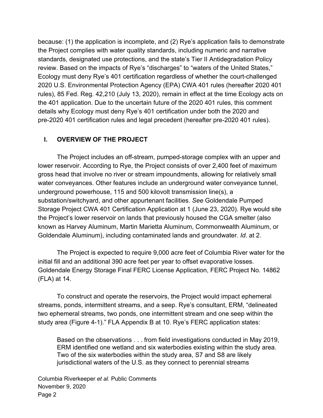because: (1) the application is incomplete, and (2) Rye's application fails to demonstrate the Project complies with water quality standards, including numeric and narrative standards, designated use protections, and the state's Tier II Antidegradation Policy review. Based on the impacts of Rye's "discharges" to "waters of the United States," Ecology must deny Rye's 401 certification regardless of whether the court-challenged 2020 U.S. Environmental Protection Agency (EPA) CWA 401 rules (hereafter 2020 401 rules), 85 Fed. Reg. 42,210 (July 13, 2020), remain in effect at the time Ecology acts on the 401 application. Due to the uncertain future of the 2020 401 rules, this comment details why Ecology must deny Rye's 401 certification under both the 2020 and pre-2020 401 certification rules and legal precedent (hereafter pre-2020 401 rules).

#### **I. OVERVIEW OF THE PROJECT**

The Project includes an off-stream, pumped-storage complex with an upper and lower reservoir. According to Rye, the Project consists of over 2,400 feet of maximum gross head that involve no river or stream impoundments, allowing for relatively small water conveyances. Other features include an underground water conveyance tunnel, underground powerhouse, 115 and 500 kilovolt transmission line(s), a substation/switchyard, and other appurtenant facilities. *See* Goldendale Pumped Storage Project CWA 401 Certification Application at 1 (June 23, 2020). Rye would site the Project's lower reservoir on lands that previously housed the CGA smelter (also known as Harvey Aluminum, Martin Marietta Aluminum, Commonwealth Aluminum, or Goldendale Aluminum), including contaminated lands and groundwater. *Id.* at 2.

The Project is expected to require 9,000 acre feet of Columbia River water for the initial fill and an additional 390 acre feet per year to offset evaporative losses. Goldendale Energy Storage Final FERC License Application, FERC Project No. 14862 (FLA) at 14.

To construct and operate the reservoirs, the Project would impact ephemeral streams, ponds, intermittent streams, and a seep. Rye's consultant, ERM, "delineated two ephemeral streams, two ponds, one intermittent stream and one seep within the study area (Figure 4-1)." FLA Appendix B at 10. Rye's FERC application states:

Based on the observations . . . from field investigations conducted in May 2019, ERM identified one wetland and six waterbodies existing within the study area. Two of the six waterbodies within the study area, S7 and S8 are likely jurisdictional waters of the U.S. as they connect to perennial streams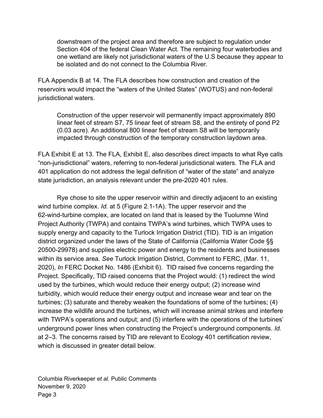downstream of the project area and therefore are subject to regulation under Section 404 of the federal Clean Water Act. The remaining four waterbodies and one wetland are likely not jurisdictional waters of the U.S because they appear to be isolated and do not connect to the Columbia River.

FLA Appendix B at 14. The FLA describes how construction and creation of the reservoirs would impact the "waters of the United States" (WOTUS) and non-federal jurisdictional waters.

Construction of the upper reservoir will permanently impact approximately 890 linear feet of stream S7, 75 linear feet of stream S8, and the entirety of pond P2 (0.03 acre). An additional 800 linear feet of stream S8 will be temporarily impacted through construction of the temporary construction laydown area.

FLA Exhibit E at 13. The FLA, Exhibit E, also describes direct impacts to what Rye calls "non-jurisdictional" waters, referring to non-federal jurisdictional waters. The FLA and 401 application do not address the legal definition of "water of the state" and analyze state jurisdiction, an analysis relevant under the pre-2020 401 rules.

Rye chose to site the upper reservoir within and directly adjacent to an existing wind turbine complex. *Id.* at 5 (Figure 2.1-1A). The upper reservoir and the 62-wind-turbine complex, are located on land that is leased by the Tuolumne Wind Project Authority (TWPA) and contains TWPA's wind turbines, which TWPA uses to supply energy and capacity to the Turlock Irrigation District (TID). TID is an irrigation district organized under the laws of the State of California (California Water Code §§ 20500-29978) and supplies electric power and energy to the residents and businesses within its service area. *See* Turlock Irrigation District, Comment to FERC, (Mar. 11, 2020), *In* FERC Docket No. 1486 (Exhibit 6). TID raised five concerns regarding the Project. Specifically, TID raised concerns that the Project would: (1) redirect the wind used by the turbines, which would reduce their energy output; (2) increase wind turbidity, which would reduce their energy output and increase wear and tear on the turbines; (3) saturate and thereby weaken the foundations of some of the turbines; (4) increase the wildlife around the turbines, which will increase animal strikes and interfere with TWPA's operations and output; and (5) interfere with the operations of the turbines' underground power lines when constructing the Project's underground components. *Id.* at 2–3. The concerns raised by TID are relevant to Ecology 401 certification review, which is discussed in greater detail below.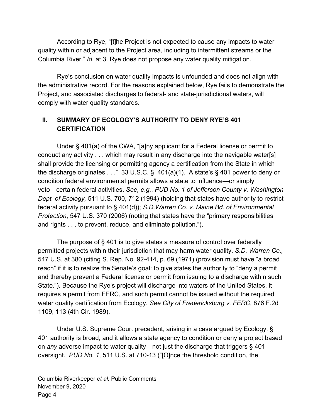According to Rye, "[t]he Project is not expected to cause any impacts to water quality within or adjacent to the Project area, including to intermittent streams or the Columbia River." *Id.* at 3. Rye does not propose any water quality mitigation.

Rye's conclusion on water quality impacts is unfounded and does not align with the administrative record. For the reasons explained below, Rye fails to demonstrate the Project, and associated discharges to federal- and state-jurisdictional waters, will comply with water quality standards.

## **II. SUMMARY OF ECOLOGY'S AUTHORITY TO DENY RYE'S 401 CERTIFICATION**

Under § 401(a) of the CWA, "[a]ny applicant for a Federal license or permit to conduct any activity . . . which may result in any discharge into the navigable water[s] shall provide the licensing or permitting agency a certification from the State in which the discharge originates  $\dots$ " 33 U.S.C. § 401(a)(1). A state's § 401 power to deny or condition federal environmental permits allows a state to influence—or simply veto—certain federal activities. *See, e.g.*, *PUD No. 1 of Jefferson County v. Washington Dept. of Ecology,* 511 U.S. 700, 712 (1994) (holding that states have authority to restrict federal activity pursuant to § 401(d)); *S.D.Warren Co. v. Maine Bd. of Environmental Protection*, 547 U.S. 370 (2006) (noting that states have the "primary responsibilities and rights . . . to prevent, reduce, and eliminate pollution.").

The purpose of § 401 is to give states a measure of control over federally permitted projects within their jurisdiction that may harm water quality. *S.D. Warren Co.,* 547 U.S. at 380 (citing S. Rep. No. 92-414, p. 69 (1971) (provision must have "a broad reach" if it is to realize the Senate's goal: to give states the authority to "deny a permit and thereby prevent a Federal license or permit from issuing to a discharge within such State."). Because the Rye's project will discharge into waters of the United States, it requires a permit from FERC, and such permit cannot be issued without the required water quality certification from Ecology. *See City of Fredericksburg v. FERC*, 876 F.2d 1109, 113 (4th Cir. 1989).

Under U.S. Supreme Court precedent, arising in a case argued by Ecology, § 401 authority is broad, and it allows a state agency to condition or deny a project based on *any* adverse impact to water quality—not just the discharge that triggers § 401 oversight. *PUD No. 1*, 511 U.S. at 710-13 ("[O]nce the threshold condition, the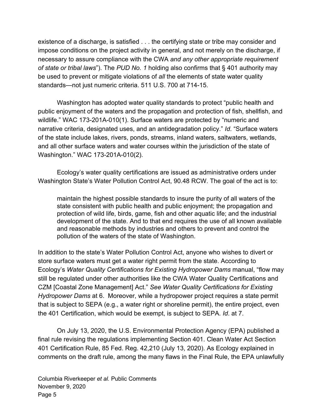existence of a discharge, is satisfied . . . the certifying state or tribe may consider and impose conditions on the project activity in general, and not merely on the discharge, if necessary to assure compliance with the CWA *and any other appropriate requirement of state or tribal laws*"). The *PUD No. 1* holding also confirms that § 401 authority may be used to prevent or mitigate violations of *all* the elements of state water quality standards—not just numeric criteria. 511 U.S. 700 at 714-15.

Washington has adopted water quality standards to protect "public health and public enjoyment of the waters and the propagation and protection of fish, shellfish, and wildlife." WAC 173-201A-010(1). Surface waters are protected by "numeric and narrative criteria, designated uses, and an antidegradation policy." *Id*. "Surface waters of the state include lakes, rivers, ponds, streams, inland waters, saltwaters, wetlands, and all other surface waters and water courses within the jurisdiction of the state of Washington." WAC 173-201A-010(2).

Ecology's water quality certifications are issued as administrative orders under Washington State's Water Pollution Control Act, 90.48 RCW. The goal of the act is to:

maintain the highest possible standards to insure the purity of all waters of the state consistent with public health and public enjoyment; the propagation and protection of wild life, birds, game, fish and other aquatic life; and the industrial development of the state. And to that end requires the use of all known available and reasonable methods by industries and others to prevent and control the pollution of the waters of the state of Washington.

In addition to the state's Water Pollution Control Act, anyone who wishes to divert or store surface waters must get a water right permit from the state. According to Ecology's *Water Quality Certifications for Existing Hydropower Dams* manual, "flow may still be regulated under other authorities like the CWA Water Quality Certifications and CZM [Coastal Zone Management] Act." *See Water Quality Certifications for Existing Hydropower Dams* at 6. Moreover, while a hydropower project requires a state permit that is subject to SEPA (e.g., a water right or shoreline permit), the entire project, even the 401 Certification, which would be exempt, is subject to SEPA. *Id*. at 7.

On July 13, 2020, the U.S. Environmental Protection Agency (EPA) published a final rule revising the regulations implementing Section 401. Clean Water Act Section 401 Certification Rule, 85 Fed. Reg. 42,210 (July 13, 2020). As Ecology explained in comments on the draft rule, among the many flaws in the Final Rule, the EPA unlawfully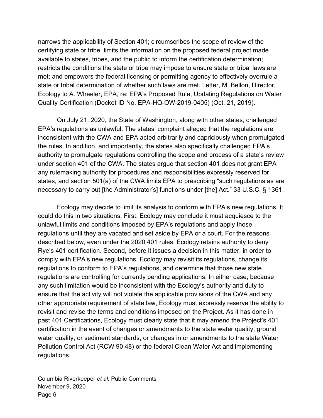narrows the applicability of Section 401; circumscribes the scope of review of the certifying state or tribe; limits the information on the proposed federal project made available to states, tribes, and the public to inform the certification determination; restricts the conditions the state or tribe may impose to ensure state or tribal laws are met; and empowers the federal licensing or permitting agency to effectively overrule a state or tribal determination of whether such laws are met. Letter, M. Bellon, Director, Ecology to A. Wheeler, EPA, re: EPA's Proposed Rule, Updating Regulations on Water Quality Certification (Docket ID No. EPA-HQ-OW-2019-0405) (Oct. 21, 2019).

On July 21, 2020, the State of Washington, along with other states, challenged EPA's regulations as unlawful. The states' complaint alleged that the regulations are inconsistent with the CWA and EPA acted arbitrarily and capriciously when promulgated the rules. In addition, and importantly, the states also specifically challenged EPA's authority to promulgate regulations controlling the scope and process of a state's review under section 401 of the CWA. The states argue that section 401 does not grant EPA any rulemaking authority for procedures and responsibilities expressly reserved for states, and section 501(a) of the CWA limits EPA to prescribing "such regulations as are necessary to carry out [the Administrator's] functions under [the] Act." 33 U.S.C. § 1361.

Ecology may decide to limit its analysis to conform with EPA's new regulations. It could do this in two situations. First, Ecology may conclude it must acquiesce to the unlawful limits and conditions imposed by EPA's regulations and apply those regulations until they are vacated and set aside by EPA or a court. For the reasons described below, even under the 2020 401 rules, Ecology retains authority to deny Rye's 401 certification. Second, before it issues a decision in this matter, in order to comply with EPA's new regulations, Ecology may revisit its regulations, change its regulations to conform to EPA's regulations, and determine that those new state regulations are controlling for currently pending applications. In either case, because any such limitation would be inconsistent with the Ecology's authority and duty to ensure that the activity will not violate the applicable provisions of the CWA and any other appropriate requirement of state law, Ecology must expressly reserve the ability to revisit and revise the terms and conditions imposed on the Project. As it has done in past 401 Certifications, Ecology must clearly state that it may amend the Project's 401 certification in the event of changes or amendments to the state water quality, ground water quality, or sediment standards, or changes in or amendments to the state Water Pollution Control Act (RCW 90.48) or the federal Clean Water Act and implementing regulations.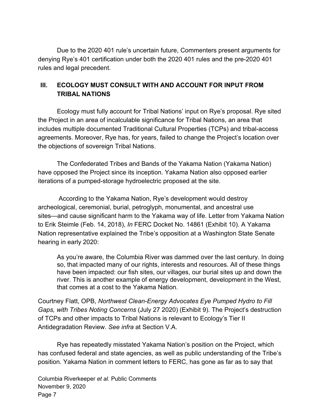Due to the 2020 401 rule's uncertain future, Commenters present arguments for denying Rye's 401 certification under both the 2020 401 rules and the pre-2020 401 rules and legal precedent.

### **III. ECOLOGY MUST CONSULT WITH AND ACCOUNT FOR INPUT FROM TRIBAL NATIONS**

Ecology must fully account for Tribal Nations' input on Rye's proposal. Rye sited the Project in an area of incalculable significance for Tribal Nations, an area that includes multiple documented Traditional Cultural Properties (TCPs) and tribal-access agreements. Moreover, Rye has, for years, failed to change the Project's location over the objections of sovereign Tribal Nations.

The Confederated Tribes and Bands of the Yakama Nation (Yakama Nation) have opposed the Project since its inception. Yakama Nation also opposed earlier iterations of a pumped-storage hydroelectric proposed at the site.

 According to the Yakama Nation, Rye's development would destroy archeological, ceremonial, burial, petroglyph, monumental, and ancestral use sites—and cause significant harm to the Yakama way of life. Letter from Yakama Nation to Erik Steimle (Feb. 14, 2018), *In* FERC Docket No. 14861 (Exhibit 10). A Yakama Nation representative explained the Tribe's opposition at a Washington State Senate hearing in early 2020:

As you're aware, the Columbia River was dammed over the last century. In doing so, that impacted many of our rights, interests and resources. All of these things have been impacted: our fish sites, our villages, our burial sites up and down the river. This is another example of energy development, development in the West, that comes at a cost to the Yakama Nation.

Courtney Flatt, OPB, *Northwest Clean-Energy Advocates Eye Pumped Hydro to Fill Gaps, with Tribes Noting Concerns* (July 27 2020) (Exhibit 9). The Project's destruction of TCPs and other impacts to Tribal Nations is relevant to Ecology's Tier II Antidegradation Review. *See infra* at Section V.A.

Rye has repeatedly misstated Yakama Nation's position on the Project, which has confused federal and state agencies, as well as public understanding of the Tribe's position. Yakama Nation in comment letters to FERC, has gone as far as to say that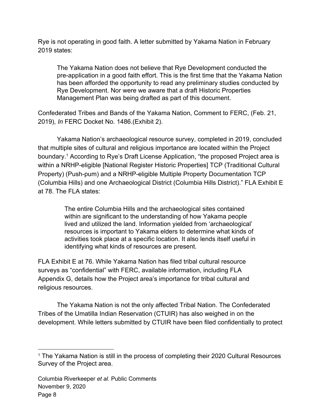Rye is not operating in good faith. A letter submitted by Yakama Nation in February 2019 states:

The Yakama Nation does not believe that Rye Development conducted the pre-application in a good faith effort. This is the first time that the Yakama Nation has been afforded the opportunity to read any preliminary studies conducted by Rye Development. Nor were we aware that a draft Historic Properties Management Plan was being drafted as part of this document.

Confederated Tribes and Bands of the Yakama Nation, Comment to FERC, (Feb. 21, 2019), *In* FERC Docket No. 1486.(Exhibit 2).

Yakama Nation's archaeological resource survey, completed in 2019, concluded that multiple sites of cultural and religious importance are located within the Project boundary.<sup>1</sup> According to Rye's Draft License Application, "the proposed Project area is within a NRHP-eligible [National Register Historic Properties] TCP (Traditional Cultural Property) (Push-pum) and a NRHP-eligible Multiple Property Documentation TCP (Columbia Hills) and one Archaeological District (Columbia Hills District)." FLA Exhibit E at 78. The FLA states:

> The entire Columbia Hills and the archaeological sites contained within are significant to the understanding of how Yakama people lived and utilized the land. Information yielded from 'archaeological' resources is important to Yakama elders to determine what kinds of activities took place at a specific location. It also lends itself useful in identifying what kinds of resources are present.

FLA Exhibit E at 76. While Yakama Nation has filed tribal cultural resource surveys as "confidential" with FERC, available information, including FLA Appendix G, details how the Project area's importance for tribal cultural and religious resources.

The Yakama Nation is not the only affected Tribal Nation. The Confederated Tribes of the Umatilla Indian Reservation (CTUIR) has also weighed in on the development. While letters submitted by CTUIR have been filed confidentially to protect

<sup>&</sup>lt;sup>1</sup> The Yakama Nation is still in the process of completing their 2020 Cultural Resources Survey of the Project area.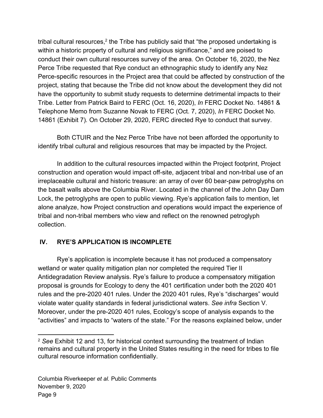tribal cultural resources, $2$  the Tribe has publicly said that "the proposed undertaking is within a historic property of cultural and religious significance," and are poised to conduct their own cultural resources survey of the area. On October 16, 2020, the Nez Perce Tribe requested that Rye conduct an ethnographic study to identify any Nez Perce-specific resources in the Project area that could be affected by construction of the project, stating that because the Tribe did not know about the development they did not have the opportunity to submit study requests to determine detrimental impacts to their Tribe. Letter from Patrick Baird to FERC (Oct. 16, 2020), *In* FERC Docket No. 14861 & Telephone Memo from Suzanne Novak to FERC (Oct. 7, 2020), *In* FERC Docket No. 14861 (Exhibit 7)*.* On October 29, 2020, FERC directed Rye to conduct that survey.

Both CTUIR and the Nez Perce Tribe have not been afforded the opportunity to identify tribal cultural and religious resources that may be impacted by the Project.

In addition to the cultural resources impacted within the Project footprint, Project construction and operation would impact off-site, adjacent tribal and non-tribal use of an irreplaceable cultural and historic treasure: an array of over 60 bear-paw petroglyphs on the basalt walls above the Columbia River. Located in the channel of the John Day Dam Lock, the petroglyphs are open to public viewing. Rye's application fails to mention, let alone analyze, how Project construction and operations would impact the experience of tribal and non-tribal members who view and reflect on the renowned petroglyph collection.

#### **IV. RYE'S APPLICATION IS INCOMPLETE**

Rye's application is incomplete because it has not produced a compensatory wetland or water quality mitigation plan nor completed the required Tier II Antidegradation Review analysis. Rye's failure to produce a compensatory mitigation proposal is grounds for Ecology to deny the 401 certification under both the 2020 401 rules and the pre-2020 401 rules. Under the 2020 401 rules, Rye's "discharges" would violate water quality standards in federal jurisdictional waters. *See infra* Section V. Moreover, under the pre-2020 401 rules, Ecology's scope of analysis expands to the "activities" and impacts to "waters of the state." For the reasons explained below, under

<sup>2</sup> *See* Exhibit 12 and 13, for historical context surrounding the treatment of Indian remains and cultural property in the United States resulting in the need for tribes to file cultural resource information confidentially.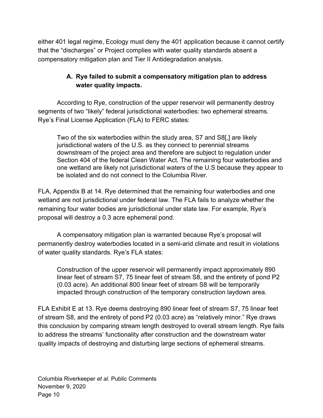either 401 legal regime, Ecology must deny the 401 application because it cannot certify that the "discharges" or Project complies with water quality standards absent a compensatory mitigation plan and Tier II Antidegradation analysis.

## **A. Rye failed to submit a compensatory mitigation plan to address water quality impacts.**

According to Rye, construction of the upper reservoir will permanently destroy segments of two "likely" federal jurisdictional waterbodies: two ephemeral streams. Rye's Final License Application (FLA) to FERC states:

Two of the six waterbodies within the study area, S7 and S8[,] are likely jurisdictional waters of the U.S. as they connect to perennial streams downstream of the project area and therefore are subject to regulation under Section 404 of the federal Clean Water Act. The remaining four waterbodies and one wetland are likely not jurisdictional waters of the U.S because they appear to be isolated and do not connect to the Columbia River.

FLA, Appendix B at 14. Rye determined that the remaining four waterbodies and one wetland are not jurisdictional under federal law. The FLA fails to analyze whether the remaining four water bodies are jurisdictional under state law. For example, Rye's proposal will destroy a 0.3 acre ephemeral pond.

A compensatory mitigation plan is warranted because Rye's proposal will permanently destroy waterbodies located in a semi-arid climate and result in violations of water quality standards. Rye's FLA states:

Construction of the upper reservoir will permanently impact approximately 890 linear feet of stream S7, 75 linear feet of stream S8, and the entirety of pond P2 (0.03 acre). An additional 800 linear feet of stream S8 will be temporarily impacted through construction of the temporary construction laydown area.

FLA Exhibit E at 13. Rye deems destroying 890 linear feet of stream S7, 75 linear feet of stream S8, and the entirety of pond P2 (0.03 acre) as "relatively minor." Rye draws this conclusion by comparing stream length destroyed to overall stream length. Rye fails to address the streams' functionality after construction and the downstream water quality impacts of destroying and disturbing large sections of ephemeral streams.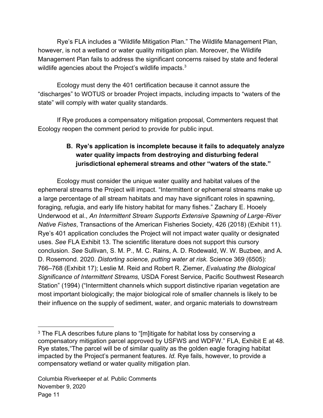Rye's FLA includes a "Wildlife Mitigation Plan." The Wildlife Management Plan, however, is not a wetland or water quality mitigation plan. Moreover, the Wildlife Management Plan fails to address the significant concerns raised by state and federal wildlife agencies about the Project's wildlife impacts.<sup>3</sup>

Ecology must deny the 401 certification because it cannot assure the "discharges" to WOTUS or broader Project impacts, including impacts to "waters of the state" will comply with water quality standards.

If Rye produces a compensatory mitigation proposal, Commenters request that Ecology reopen the comment period to provide for public input.

## **B. Rye's application is incomplete because it fails to adequately analyze water quality impacts from destroying and disturbing federal jurisdictional ephemeral streams and other "waters of the state."**

Ecology must consider the unique water quality and habitat values of the ephemeral streams the Project will impact. "Intermittent or ephemeral streams make up a large percentage of all stream habitats and may have significant roles in spawning, foraging, refugia, and early life history habitat for many fishes." Zachary E. Hooely Underwood et al., *An Intermittent Stream Supports Extensive Spawning of Large*-*River Native Fishes*, Transactions of the American Fisheries Society, 426 (2018) (Exhibit 11). Rye's 401 application concludes the Project will not impact water quality or designated uses. *See* FLA Exhibit 13. The scientific literature does not support this cursory conclusion. *See* Sullivan, S. M. P., M. C. Rains, A. D. Rodewald, W. W. Buzbee, and A. D. Rosemond. 2020. *Distorting science, putting water at risk.* Science 369 (6505): 766–768 (Exhibit 17); Leslie M. Reid and Robert R. Ziemer, *Evaluating the Biological Significance of Intermittent Streams,* USDA Forest Service, Pacific Southwest Research Station" (1994) ("Intermittent channels which support distinctive riparian vegetation are most important biologically; the major biological role of smaller channels is likely to be their influence on the supply of sediment, water, and organic materials to downstream

<sup>&</sup>lt;sup>3</sup> The FLA describes future plans to "[m]itigate for habitat loss by conserving a compensatory mitigation parcel approved by USFWS and WDFW." FLA, Exhibit E at 48. Rye states,"The parcel will be of similar quality as the golden eagle foraging habitat impacted by the Project's permanent features. *Id.* Rye fails, however, to provide a compensatory wetland or water quality mitigation plan.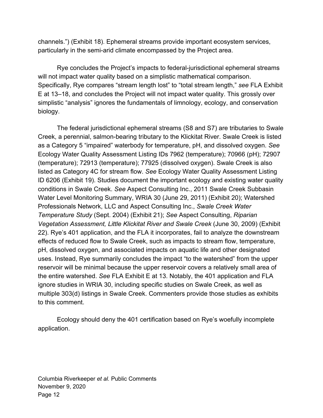channels.") (Exhibit 18). Ephemeral streams provide important ecosystem services, particularly in the semi-arid climate encompassed by the Project area.

Rye concludes the Project's impacts to federal-jurisdictional ephemeral streams will not impact water quality based on a simplistic mathematical comparison. Specifically, Rye compares "stream length lost" to "total stream length," *see* FLA Exhibit E at 13–18, and concludes the Project will not impact water quality. This grossly over simplistic "analysis" ignores the fundamentals of limnology, ecology, and conservation biology.

The federal jurisdictional ephemeral streams (S8 and S7) are tributaries to Swale Creek, a perennial, salmon-bearing tributary to the Klickitat River. Swale Creek is listed as a Category 5 "impaired" waterbody for temperature, pH, and dissolved oxygen. *See* Ecology Water Quality Assessment Listing IDs 7962 (temperature); 70966 (pH); 72907 (temperature); 72913 (temperature); 77925 (dissolved oxygen). Swale Creek is also listed as Category 4C for stream flow. *See* Ecology Water Quality Assessment Listing ID 6206 (Exhibit 19). Studies document the important ecology and existing water quality conditions in Swale Creek. *See* Aspect Consulting Inc., 2011 Swale Creek Subbasin Water Level Monitoring Summary, WRIA 30 (June 29, 2011) (Exhibit 20); Watershed Professionals Network, LLC and Aspect Consulting Inc., *Swale Creek Water Temperature Study* (Sept. 2004) (Exhibit 21); *See* Aspect Consulting, *Riparian Vegetation Assessment, Little Klickitat River and Swale Creek* (June 30, 2009) (Exhibit 22). Rye's 401 application, and the FLA it incorporates, fail to analyze the downstream effects of reduced flow to Swale Creek, such as impacts to stream flow, temperature, pH, dissolved oxygen, and associated impacts on aquatic life and other designated uses. Instead, Rye summarily concludes the impact "to the watershed" from the upper reservoir will be minimal because the upper reservoir covers a relatively small area of the entire watershed. *See* FLA Exhibit E at 13. Notably, the 401 application and FLA ignore studies in WRIA 30, including specific studies on Swale Creek, as well as multiple 303(d) listings in Swale Creek. Commenters provide those studies as exhibits to this comment.

Ecology should deny the 401 certification based on Rye's woefully incomplete application.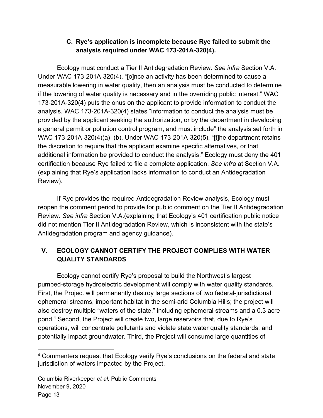### **C. Rye's application is incomplete because Rye failed to submit the analysis required under WAC 173-201A-320(4).**

Ecology must conduct a Tier II Antidegradation Review. *See infra* Section V.A. Under WAC 173-201A-320(4), "[o]nce an activity has been determined to cause a measurable lowering in water quality, then an analysis must be conducted to determine if the lowering of water quality is necessary and in the overriding public interest." WAC 173-201A-320(4) puts the onus on the applicant to provide information to conduct the analysis. WAC 173-201A-320(4) states "information to conduct the analysis must be provided by the applicant seeking the authorization, or by the department in developing a general permit or pollution control program, and must include" the analysis set forth in WAC 173-201A-320(4)(a)–(b). Under WAC 173-201A-320(5), "[t]he department retains the discretion to require that the applicant examine specific alternatives, or that additional information be provided to conduct the analysis." Ecology must deny the 401 certification because Rye failed to file a complete application. *See infra* at Section V.A. (explaining that Rye's application lacks information to conduct an Antidegradation Review).

If Rye provides the required Antidegradation Review analysis, Ecology must reopen the comment period to provide for public comment on the Tier II Antidegradation Review. *See infra* Section V.A.(explaining that Ecology's 401 certification public notice did not mention Tier II Antidegradation Review, which is inconsistent with the state's Antidegradation program and agency guidance).

# **V. ECOLOGY CANNOT CERTIFY THE PROJECT COMPLIES WITH WATER QUALITY STANDARDS**

Ecology cannot certify Rye's proposal to build the Northwest's largest pumped-storage hydroelectric development will comply with water quality standards. First, the Project will permanently destroy large sections of two federal-jurisdictional ephemeral streams, important habitat in the semi-arid Columbia Hills; the project will also destroy multiple "waters of the state," including ephemeral streams and a 0.3 acre pond.<sup>4</sup> Second, the Project will create two, large reservoirs that, due to Rye's operations, will concentrate pollutants and violate state water quality standards, and potentially impact groundwater. Third, the Project will consume large quantities of

<sup>4</sup> Commenters request that Ecology verify Rye's conclusions on the federal and state jurisdiction of waters impacted by the Project.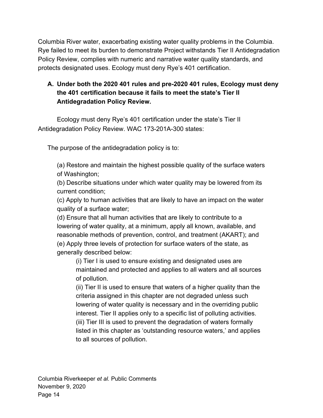Columbia River water, exacerbating existing water quality problems in the Columbia. Rye failed to meet its burden to demonstrate Project withstands Tier II Antidegradation Policy Review, complies with numeric and narrative water quality standards, and protects designated uses. Ecology must deny Rye's 401 certification.

## **A. Under both the 2020 401 rules and pre-2020 401 rules, Ecology must deny the 401 certification because it fails to meet the state's Tier II Antidegradation Policy Review.**

Ecology must deny Rye's 401 certification under the state's Tier II Antidegradation Policy Review. WAC 173-201A-300 states:

The purpose of the antidegradation policy is to:

(a) Restore and maintain the highest possible quality of the surface waters of Washington;

(b) Describe situations under which water quality may be lowered from its current condition;

(c) Apply to human activities that are likely to have an impact on the water quality of a surface water;

(d) Ensure that all human activities that are likely to contribute to a lowering of water quality, at a minimum, apply all known, available, and reasonable methods of prevention, control, and treatment (AKART); and (e) Apply three levels of protection for surface waters of the state, as generally described below:

(i) Tier I is used to ensure existing and designated uses are maintained and protected and applies to all waters and all sources of pollution.

(ii) Tier II is used to ensure that waters of a higher quality than the criteria assigned in this chapter are not degraded unless such lowering of water quality is necessary and in the overriding public interest. Tier II applies only to a specific list of polluting activities. (iii) Tier III is used to prevent the degradation of waters formally listed in this chapter as 'outstanding resource waters,' and applies to all sources of pollution.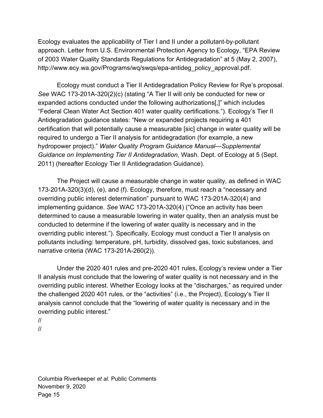Ecology evaluates the applicability of Tier I and II under a pollutant-by-pollutant approach. Letter from U.S. Environmental Protection Agency to Ecology, "EPA Review of 2003 Water Quality Standards Regulations for Antidegradation" at 5 (May 2, 2007), http://www.ecy.wa.gov/Programs/wq/swqs/epa-antideg\_policy\_approval.pdf.

Ecology must conduct a Tier II Antidegradation Policy Review for Rye's proposal. *See* WAC 173-201A-320(2)(c) (stating "A Tier II will only be conducted for new or expanded actions conducted under the following authorizations[,]" which includes "Federal Clean Water Act Section 401 water quality certifications."). Ecology's Tier II Antidegradation guidance states: "New or expanded projects requiring a 401 certification that will potentially cause a measurable [sic] change in water quality will be required to undergo a Tier II analysis for antidegradation (for example, a new hydropower project)." *Water Quality Program Guidance Manual—Supplemental Guidance on Implementing Tier II Antidegradation*, Wash. Dept. of Ecology at 5 (Sept. 2011) (hereafter Ecology Tier II Antidegradation Guidance).

The Project will cause a measurable change in water quality, as defined in WAC 173-201A-320(3)(d), (e), and (f). Ecology, therefore, must reach a "necessary and overriding public interest determination" pursuant to WAC 173-201A-320(4) and implementing guidance. *See* WAC 173-201A-320(4) ("Once an activity has been determined to cause a measurable lowering in water quality, then an analysis must be conducted to determine if the lowering of water quality is necessary and in the overriding public interest."). Specifically, Ecology must conduct a Tier II analysis on pollutants including: temperature, pH, turbidity, dissolved gas, toxic substances, and narrative criteria (WAC 173-201A-260(2)).

Under the 2020 401 rules and pre-2020 401 rules, Ecology's review under a Tier II analysis must conclude that the lowering of water quality is not necessary and in the overriding public interest. Whether Ecology looks at the "discharges," as required under the challenged 2020 401 rules, or the "activities" (i.e., the Project), Ecology's Tier II analysis cannot conclude that the "lowering of water quality is necessary and in the overriding public interest."

//

<sup>//</sup>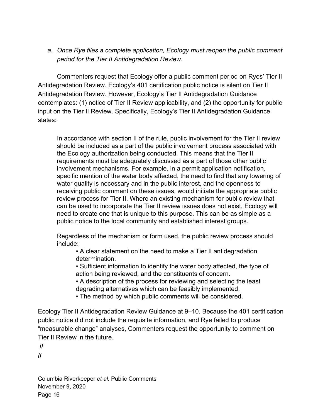*a. Once Rye files a complete application, Ecology must reopen the public comment period for the Tier II Antidegradation Review.*

Commenters request that Ecology offer a public comment period on Ryes' Tier II Antidegradation Review. Ecology's 401 certification public notice is silent on Tier II Antidegradation Review. However, Ecology's Tier II Antidegradation Guidance contemplates: (1) notice of Tier II Review applicability, and (2) the opportunity for public input on the Tier II Review. Specifically, Ecology's Tier II Antidegradation Guidance states:

In accordance with section II of the rule, public involvement for the Tier II review should be included as a part of the public involvement process associated with the Ecology authorization being conducted. This means that the Tier II requirements must be adequately discussed as a part of those other public involvement mechanisms. For example, in a permit application notification, specific mention of the water body affected, the need to find that any lowering of water quality is necessary and in the public interest, and the openness to receiving public comment on these issues, would initiate the appropriate public review process for Tier II. Where an existing mechanism for public review that can be used to incorporate the Tier II review issues does not exist, Ecology will need to create one that is unique to this purpose. This can be as simple as a public notice to the local community and established interest groups.

Regardless of the mechanism or form used, the public review process should include:

• A clear statement on the need to make a Tier II antidegradation determination.

• Sufficient information to identify the water body affected, the type of action being reviewed, and the constituents of concern.

• A description of the process for reviewing and selecting the least degrading alternatives which can be feasibly implemented.

• The method by which public comments will be considered.

Ecology Tier II Antidegradation Review Guidance at 9–10. Because the 401 certification public notice did not include the requisite information, and Rye failed to produce "measurable change" analyses, Commenters request the opportunity to comment on Tier II Review in the future.

 **//**

**//**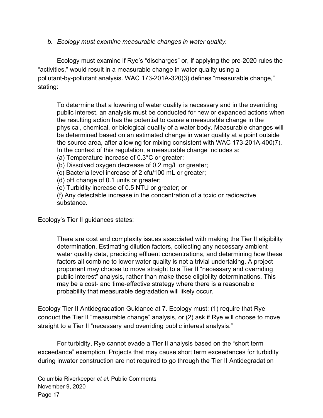*b. Ecology must examine measurable changes in water quality.*

Ecology must examine if Rye's "discharges" or, if applying the pre-2020 rules the "activities," would result in a measurable change in water quality using a pollutant-by-pollutant analysis. WAC 173-201A-320(3) defines "measurable change," stating:

To determine that a lowering of water quality is necessary and in the overriding public interest, an analysis must be conducted for new or expanded actions when the resulting action has the potential to cause a measurable change in the physical, chemical, or biological quality of a water body. Measurable changes will be determined based on an estimated change in water quality at a point outside the source area, after allowing for mixing consistent with WAC 173-201A-400(7). In the context of this regulation, a measurable change includes a:

(a) Temperature increase of 0.3°C or greater;

(b) Dissolved oxygen decrease of 0.2 mg/L or greater;

(c) Bacteria level increase of 2 cfu/100 mL or greater;

(d) pH change of 0.1 units or greater;

(e) Turbidity increase of 0.5 NTU or greater; or

(f) Any detectable increase in the concentration of a toxic or radioactive substance.

Ecology's Tier II guidances states:

There are cost and complexity issues associated with making the Tier II eligibility determination. Estimating dilution factors, collecting any necessary ambient water quality data, predicting effluent concentrations, and determining how these factors all combine to lower water quality is not a trivial undertaking. A project proponent may choose to move straight to a Tier II "necessary and overriding public interest" analysis, rather than make these eligibility determinations. This may be a cost- and time-effective strategy where there is a reasonable probability that measurable degradation will likely occur.

Ecology Tier II Antidegradation Guidance at 7. Ecology must: (1) require that Rye conduct the Tier II "measurable change" analysis, or (2) ask if Rye will choose to move straight to a Tier II "necessary and overriding public interest analysis."

For turbidity, Rye cannot evade a Tier II analysis based on the "short term exceedance" exemption. Projects that may cause short term exceedances for turbidity during inwater construction are not required to go through the Tier II Antidegradation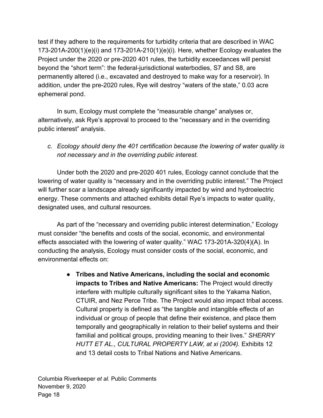test if they adhere to the requirements for turbidity criteria that are described in WAC 173-201A-200(1)(e)(i) and 173-201A-210(1)(e)(i). Here, whether Ecology evaluates the Project under the 2020 or pre-2020 401 rules, the turbidity exceedances will persist beyond the "short term": the federal-jurisdictional waterbodies, S7 and S8, are permanently altered (i.e., excavated and destroyed to make way for a reservoir). In addition, under the pre-2020 rules, Rye will destroy "waters of the state," 0.03 acre ephemeral pond.

In sum, Ecology must complete the "measurable change" analyses or, alternatively, ask Rye's approval to proceed to the "necessary and in the overriding public interest" analysis.

*c. Ecology should deny the 401 certification because the lowering of water quality is not necessary and in the overriding public interest.*

Under both the 2020 and pre-2020 401 rules, Ecology cannot conclude that the lowering of water quality is "necessary and in the overriding public interest." The Project will further scar a landscape already significantly impacted by wind and hydroelectric energy. These comments and attached exhibits detail Rye's impacts to water quality, designated uses, and cultural resources.

As part of the "necessary and overriding public interest determination," Ecology must consider "the benefits and costs of the social, economic, and environmental effects associated with the lowering of water quality." WAC 173-201A-320(4)(A). In conducting the analysis, Ecology must consider costs of the social, economic, and environmental effects on:

> ● **Tribes and Native Americans, including the social and economic impacts to Tribes and Native Americans:** The Project would directly interfere with multiple culturally significant sites to the Yakama Nation, CTUIR, and Nez Perce Tribe. The Project would also impact tribal access. Cultural property is defined as "the tangible and intangible effects of an individual or group of people that define their existence, and place them temporally and geographically in relation to their belief systems and their familial and political groups, providing meaning to their lives." *SHERRY HUTT ET AL., CULTURAL PROPERTY LAW, at xi (2004).* Exhibits 12 and 13 detail costs to Tribal Nations and Native Americans.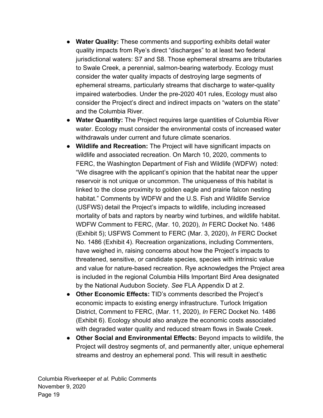- **Water Quality:** These comments and supporting exhibits detail water quality impacts from Rye's direct "discharges" to at least two federal jurisdictional waters: S7 and S8. Those ephemeral streams are tributaries to Swale Creek, a perennial, salmon-bearing waterbody. Ecology must consider the water quality impacts of destroying large segments of ephemeral streams, particularly streams that discharge to water-quality impaired waterbodies. Under the pre-2020 401 rules, Ecology must also consider the Project's direct and indirect impacts on "waters on the state" and the Columbia River.
- **● Water Quantity:** The Project requires large quantities of Columbia River water. Ecology must consider the environmental costs of increased water withdrawals under current and future climate scenarios.
- **● Wildlife and Recreation:** The Project will have significant impacts on wildlife and associated recreation. On March 10, 2020, comments to FERC, the Washington Department of Fish and Wildlife (WDFW) noted: "We disagree with the applicant's opinion that the habitat near the upper reservoir is not unique or uncommon. The uniqueness of this habitat is linked to the close proximity to golden eagle and prairie falcon nesting habitat." Comments by WDFW and the U.S. Fish and Wildlife Service (USFWS) detail the Project's impacts to wildlife, including increased mortality of bats and raptors by nearby wind turbines, and wildlife habitat. WDFW Comment to FERC, (Mar. 10, 2020), *In* FERC Docket No. 1486 (Exhibit 5); USFWS Comment to FERC (Mar. 3, 2020), *In* FERC Docket No. 1486 (Exhibit 4). Recreation organizations, including Commenters, have weighed in, raising concerns about how the Project's impacts to threatened, sensitive, or candidate species, species with intrinsic value and value for nature-based recreation. Rye acknowledges the Project area is included in the regional Columbia Hills Important Bird Area designated by the National Audubon Society. *See* FLA Appendix D at 2.
- **● Other Economic Effects:** TID's comments described the Project's economic impacts to existing energy infrastructure. Turlock Irrigation District, Comment to FERC, (Mar. 11, 2020), *In* FERC Docket No. 1486 (Exhibit 6). Ecology should also analyze the economic costs associated with degraded water quality and reduced stream flows in Swale Creek.
- **● Other Social and Environmental Effects:** Beyond impacts to wildlife, the Project will destroy segments of, and permanently alter, unique ephemeral streams and destroy an ephemeral pond. This will result in aesthetic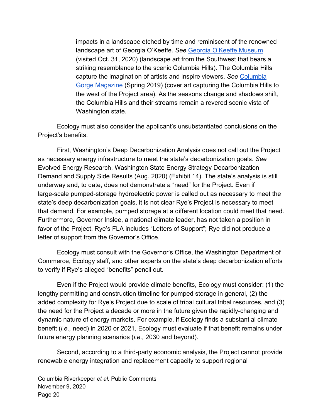impacts in a landscape etched by time and reminiscent of the renowned landscape art of Georgia O'Keeffe. *See* [Georgia O'Keeffe Museum](https://www.okeeffemuseum.org/store/products/?fwp_category_products=landscapes) (visited Oct. 31, 2020) (landscape art from the Southwest that bears a striking resemblance to the scenic Columbia Hills). The Columbia Hills capture the imagination of artists and inspire viewers. *See* [Columbia](https://issuu.com/thegorgemagazine/docs/the_gorge_magazine_spring19_web) [Gorge Magazine](https://issuu.com/thegorgemagazine/docs/the_gorge_magazine_spring19_web) (Spring 2019) (cover art capturing the Columbia Hills to the west of the Project area). As the seasons change and shadows shift, the Columbia Hills and their streams remain a revered scenic vista of Washington state.

Ecology must also consider the applicant's unsubstantiated conclusions on the Project's benefits.

First, Washington's Deep Decarbonization Analysis does not call out the Project as necessary energy infrastructure to meet the state's decarbonization goals. *See* Evolved Energy Research, Washington State Energy Strategy Decarbonization Demand and Supply Side Results (Aug. 2020) (Exhibit 14). The state's analysis is still underway and, to date, does not demonstrate a "need" for the Project. Even if large-scale pumped-storage hydroelectric power is called out as necessary to meet the state's deep decarbonization goals, it is not clear Rye's Project is necessary to meet that demand. For example, pumped storage at a different location could meet that need. Furthermore, Governor Inslee, a national climate leader, has not taken a position in favor of the Project. Rye's FLA includes "Letters of Support"; Rye did not produce a letter of support from the Governor's Office.

Ecology must consult with the Governor's Office, the Washington Department of Commerce, Ecology staff, and other experts on the state's deep decarbonization efforts to verify if Rye's alleged "benefits" pencil out.

Even if the Project would provide climate benefits, Ecology must consider: (1) the lengthy permitting and construction timeline for pumped storage in general, (2) the added complexity for Rye's Project due to scale of tribal cultural tribal resources, and (3) the need for the Project a decade or more in the future given the rapidly-changing and dynamic nature of energy markets. For example, if Ecology finds a substantial climate benefit (*i.e.,* need) in 2020 or 2021, Ecology must evaluate if that benefit remains under future energy planning scenarios (*i.e.,* 2030 and beyond).

Second, according to a third-party economic analysis, the Project cannot provide renewable energy integration and replacement capacity to support regional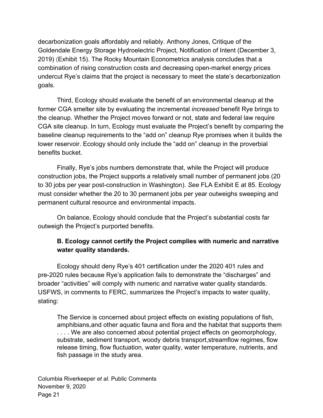decarbonization goals affordably and reliably. Anthony Jones, Critique of the Goldendale Energy Storage Hydroelectric Project, Notification of Intent (December 3, 2019) (Exhibit 15). The Rocky Mountain Econometrics analysis concludes that a combination of rising construction costs and decreasing open-market energy prices undercut Rye's claims that the project is necessary to meet the state's decarbonization goals.

Third, Ecology should evaluate the benefit of an environmental cleanup at the former CGA smelter site by evaluating the incremental *increased* benefit Rye brings to the cleanup. Whether the Project moves forward or not, state and federal law require CGA site cleanup. In turn, Ecology must evaluate the Project's benefit by comparing the baseline cleanup requirements to the "add on" cleanup Rye promises when it builds the lower reservoir. Ecology should only include the "add on" cleanup in the proverbial benefits bucket.

Finally, Rye's jobs numbers demonstrate that, while the Project will produce construction jobs, the Project supports a relatively small number of permanent jobs (20 to 30 jobs per year post-construction in Washington). *See* FLA Exhibit E at 85. Ecology must consider whether the 20 to 30 permanent jobs per year outweighs sweeping and permanent cultural resource and environmental impacts.

On balance, Ecology should conclude that the Project's substantial costs far outweigh the Project's purported benefits.

#### **B. Ecology cannot certify the Project complies with numeric and narrative water quality standards.**

Ecology should deny Rye's 401 certification under the 2020 401 rules and pre-2020 rules because Rye's application fails to demonstrate the "discharges" and broader "activities" will comply with numeric and narrative water quality standards. USFWS, in comments to FERC, summarizes the Project's impacts to water quality, stating:

The Service is concerned about project effects on existing populations of fish, amphibians,and other aquatic fauna and flora and the habitat that supports them .... We are also concerned about potential project effects on geomorphology, substrate, sediment transport, woody debris transport,streamflow regimes, flow release timing, flow fluctuation, water quality, water temperature, nutrients, and fish passage in the study area.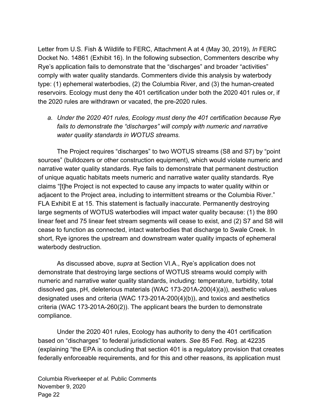Letter from U.S. Fish & Wildlife to FERC, Attachment A at 4 (May 30, 2019), *In* FERC Docket No. 14861 (Exhibit 16). In the following subsection, Commenters describe why Rye's application fails to demonstrate that the "discharges" and broader "activities" comply with water quality standards. Commenters divide this analysis by waterbody type: (1) ephemeral waterbodies, (2) the Columbia River, and (3) the human-created reservoirs. Ecology must deny the 401 certification under both the 2020 401 rules or, if the 2020 rules are withdrawn or vacated, the pre-2020 rules.

*a. Under the 2020 401 rules, Ecology must deny the 401 certification because Rye fails to demonstrate the "discharges" will comply with numeric and narrative water quality standards in WOTUS streams.*

The Project requires "discharges" to two WOTUS streams (S8 and S7) by "point sources" (bulldozers or other construction equipment), which would violate numeric and narrative water quality standards. Rye fails to demonstrate that permanent destruction of unique aquatic habitats meets numeric and narrative water quality standards. Rye claims "[t]he Project is not expected to cause any impacts to water quality within or adjacent to the Project area, including to intermittent streams or the Columbia River." FLA Exhibit E at 15. This statement is factually inaccurate. Permanently destroying large segments of WOTUS waterbodies will impact water quality because: (1) the 890 linear feet and 75 linear feet stream segments will cease to exist, and (2) S7 and S8 will cease to function as connected, intact waterbodies that discharge to Swale Creek. In short, Rye ignores the upstream and downstream water quality impacts of ephemeral waterbody destruction.

As discussed above, *supra* at Section VI.A., Rye's application does not demonstrate that destroying large sections of WOTUS streams would comply with numeric and narrative water quality standards, including: temperature, turbidity, total dissolved gas, pH, deleterious materials (WAC 173-201A-200(4)(a)), aesthetic values designated uses and criteria (WAC 173-201A-200(4)(b)), and toxics and aesthetics criteria (WAC 173-201A-260(2)). The applicant bears the burden to demonstrate compliance.

Under the 2020 401 rules, Ecology has authority to deny the 401 certification based on "discharges" to federal jurisdictional waters. *See* 85 Fed. Reg. at 42235 (explaining "the EPA is concluding that section 401 is a regulatory provision that creates federally enforceable requirements, and for this and other reasons, its application must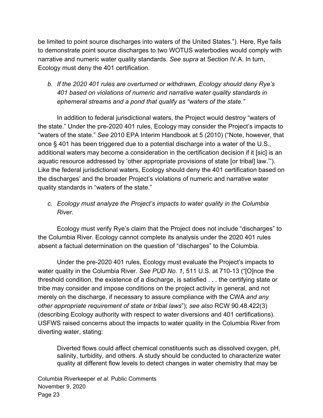be limited to point source discharges into waters of the United States."). Here, Rye fails to demonstrate point source discharges to two WOTUS waterbodies would comply with narrative and numeric water quality standards. *See supra* at Section IV.A. In turn, Ecology must deny the 401 certification.

### *b. If the 2020 401 rules are overturned or withdrawn, Ecology should deny Rye's 401 based on violations of numeric and narrative water quality standards in ephemeral streams and a pond that qualify as "waters of the state."*

In addition to federal jurisdictional waters, the Project would destroy "waters of the state." Under the pre-2020 401 rules, Ecology may consider the Project's impacts to "waters of the state." *See* 2010 EPA Interim Handbook at 5 (2010) ("Note, however, that once § 401 has been triggered due to a potential discharge into a water of the U.S., additional waters may become a consideration in the certification decision if it [sic] is an aquatic resource addressed by 'other appropriate provisions of state [or tribal] law.'"). Like the federal jurisdictional waters, Ecology should deny the 401 certification based on the discharges' and the broader Project's violations of numeric and narrative water quality standards in "waters of the state."

#### *c. Ecology must analyze the Project's impacts to water quality in the Columbia River.*

Ecology must verify Rye's claim that the Project does not include "discharges" to the Columbia River. Ecology cannot complete its analysis under the 2020 401 rules absent a factual determination on the question of "discharges" to the Columbia.

Under the pre-2020 401 rules, Ecology must evaluate the Project's impacts to water quality in the Columbia River. *See PUD No. 1*, 511 U.S. at 710-13 ("[O]nce the threshold condition, the existence of a discharge, is satisfied . . . the certifying state or tribe may consider and impose conditions on the project activity in general, and not merely on the discharge, if necessary to assure compliance with the CWA *and any other appropriate requirement of state or tribal laws*"); *see also* RCW 90.48.422(3) (describing Ecology authority with respect to water diversions and 401 certifications). USFWS raised concerns about the impacts to water quality in the Columbia River from diverting water, stating:

Diverted flows could affect chemical constituents such as dissolved oxygen, pH, salinity, turbidity, and others. A study should be conducted to characterize water quality at different flow levels to detect changes in water chemistry that may be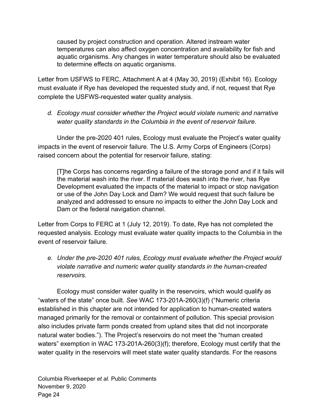caused by project construction and operation. Altered instream water temperatures can also affect oxygen concentration and availability for fish and aquatic organisms. Any changes in water temperature should also be evaluated to determine effects on aquatic organisms.

Letter from USFWS to FERC, Attachment A at 4 (May 30, 2019) (Exhibit 16). Ecology must evaluate if Rye has developed the requested study and, if not, request that Rye complete the USFWS-requested water quality analysis.

*d. Ecology must consider whether the Project would violate numeric and narrative water quality standards in the Columbia in the event of reservoir failure.*

Under the pre-2020 401 rules, Ecology must evaluate the Project's water quality impacts in the event of reservoir failure. The U.S. Army Corps of Engineers (Corps) raised concern about the potential for reservoir failure, stating:

[T]he Corps has concerns regarding a failure of the storage pond and if it fails will the material wash into the river. If material does wash into the river, has Rye Development evaluated the impacts of the material to impact or stop navigation or use of the John Day Lock and Dam? We would request that such failure be analyzed and addressed to ensure no impacts to either the John Day Lock and Dam or the federal navigation channel.

Letter from Corps to FERC at 1 (July 12, 2019). To date, Rye has not completed the requested analysis. Ecology must evaluate water quality impacts to the Columbia in the event of reservoir failure.

*e. Under the pre-2020 401 rules, Ecology must evaluate whether the Project would violate narrative and numeric water quality standards in the human-created reservoirs.*

Ecology must consider water quality in the reservoirs, which would qualify as "waters of the state" once built. *See* WAC 173-201A-260(3)(f) ("Numeric criteria established in this chapter are not intended for application to human-created waters managed primarily for the removal or containment of pollution. This special provision also includes private farm ponds created from upland sites that did not incorporate natural water bodies."). The Project's reservoirs do not meet the "human created waters" exemption in WAC 173-201A-260(3)(f); therefore, Ecology must certify that the water quality in the reservoirs will meet state water quality standards. For the reasons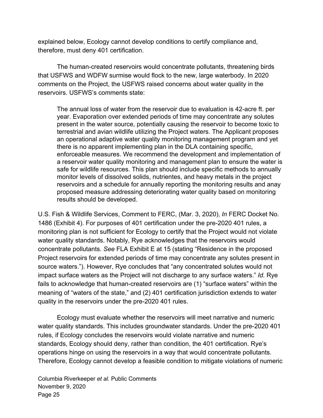explained below, Ecology cannot develop conditions to certify compliance and, therefore, must deny 401 certification.

The human-created reservoirs would concentrate pollutants, threatening birds that USFWS and WDFW surmise would flock to the new, large waterbody. In 2020 comments on the Project, the USFWS raised concerns about water quality in the reservoirs. USFWS's comments state:

The annual loss of water from the reservoir due to evaluation is 42-acre ft. per year. Evaporation over extended periods of time may concentrate any solutes present in the water source, potentially causing the reservoir to become toxic to terrestrial and avian wildlife utilizing the Project waters. The Applicant proposes an operational adaptive water quality monitoring management program and yet there is no apparent implementing plan in the DLA containing specific, enforceable measures. We recommend the development and implementation of a reservoir water quality monitoring and management plan to ensure the water is safe for wildlife resources. This plan should include specific methods to annually monitor levels of dissolved solids, nutrientes, and heavy metals in the project reservoirs and a schedule for annually reporting the monitoring results and anay proposed measure addressing deteriorating water quality based on monitoring results should be developed.

U.S. Fish & Wildlife Services, Comment to FERC, (Mar. 3, 2020), *In* FERC Docket No. 1486 (Exhibit 4). For purposes of 401 certification under the pre-2020 401 rules, a monitoring plan is not sufficient for Ecology to certify that the Project would not violate water quality standards. Notably, Rye acknowledges that the reservoirs would concentrate pollutants. *See* FLA Exhibit E at 15 (stating "Residence in the proposed Project reservoirs for extended periods of time may concentrate any solutes present in source waters."). However, Rye concludes that "any concentrated solutes would not impact surface waters as the Project will not discharge to any surface waters." *Id.* Rye fails to acknowledge that human-created reservoirs are (1) "surface waters" within the meaning of "waters of the state," and (2) 401 certification jurisdiction extends to water quality in the reservoirs under the pre-2020 401 rules.

Ecology must evaluate whether the reservoirs will meet narrative and numeric water quality standards. This includes groundwater standards. Under the pre-2020 401 rules, if Ecology concludes the reservoirs would violate narrative and numeric standards, Ecology should deny, rather than condition, the 401 certification. Rye's operations hinge on using the reservoirs in a way that would concentrate pollutants. Therefore, Ecology cannot develop a feasible condition to mitigate violations of numeric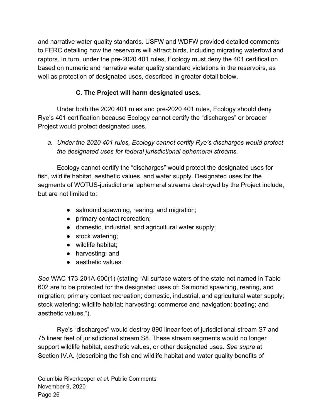and narrative water quality standards. USFW and WDFW provided detailed comments to FERC detailing how the reservoirs will attract birds, including migrating waterfowl and raptors. In turn, under the pre-2020 401 rules, Ecology must deny the 401 certification based on numeric and narrative water quality standard violations in the reservoirs, as well as protection of designated uses, described in greater detail below.

# **C. The Project will harm designated uses.**

Under both the 2020 401 rules and pre-2020 401 rules, Ecology should deny Rye's 401 certification because Ecology cannot certify the "discharges" or broader Project would protect designated uses.

*a. Under the 2020 401 rules, Ecology cannot certify Rye's discharges would protect the designated uses for federal jurisdictional ephemeral streams.*

Ecology cannot certify the "discharges" would protect the designated uses for fish, wildlife habitat, aesthetic values, and water supply. Designated uses for the segments of WOTUS-jurisdictional ephemeral streams destroyed by the Project include, but are not limited to:

- salmonid spawning, rearing, and migration;
- primary contact recreation;
- domestic, industrial, and agricultural water supply;
- stock watering;
- wildlife habitat;
- harvesting; and
- aesthetic values.

*See* WAC 173-201A-600(1) (stating "All surface waters of the state not named in Table 602 are to be protected for the designated uses of: Salmonid spawning, rearing, and migration; primary contact recreation; domestic, industrial, and agricultural water supply; stock watering; wildlife habitat; harvesting; commerce and navigation; boating; and aesthetic values.").

Rye's "discharges" would destroy 890 linear feet of jurisdictional stream S7 and 75 linear feet of jurisdictional stream S8. These stream segments would no longer support wildlife habitat, aesthetic values, or other designated uses. *See supra* at Section IV.A. (describing the fish and wildlife habitat and water quality benefits of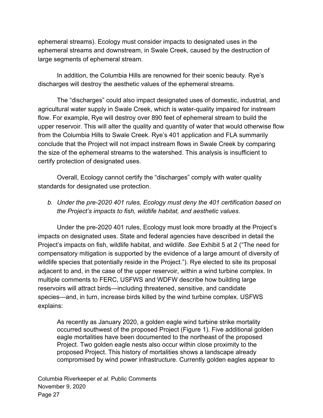ephemeral streams). Ecology must consider impacts to designated uses in the ephemeral streams and downstream, in Swale Creek, caused by the destruction of large segments of ephemeral stream.

In addition, the Columbia Hills are renowned for their scenic beauty. Rye's discharges will destroy the aesthetic values of the ephemeral streams.

The "discharges" could also impact designated uses of domestic, industrial, and agricultural water supply in Swale Creek, which is water-quality impaired for instream flow. For example, Rye will destroy over 890 feet of ephemeral stream to build the upper reservoir. This will alter the quality and quantity of water that would otherwise flow from the Columbia Hills to Swale Creek. Rye's 401 application and FLA summarily conclude that the Project will not impact instream flows in Swale Creek by comparing the size of the ephemeral streams to the watershed. This analysis is insufficient to certify protection of designated uses.

Overall, Ecology cannot certify the "discharges" comply with water quality standards for designated use protection.

*b. Under the pre-2020 401 rules, Ecology must deny the 401 certification based on the Project's impacts to fish, wildlife habitat, and aesthetic values.*

Under the pre-2020 401 rules, Ecology must look more broadly at the Project's impacts on designated uses. State and federal agencies have described in detail the Project's impacts on fish, wildlife habitat, and wildlife. *See* Exhibit 5 at 2 ("The need for compensatory mitigation is supported by the evidence of a large amount of diversity of wildlife species that potentially reside in the Project."). Rye elected to site its proposal adjacent to and, in the case of the upper reservoir, within a wind turbine complex. In multiple comments to FERC, USFWS and WDFW describe how building large reservoirs will attract birds—including threatened, sensitive, and candidate species—and, in turn, increase birds killed by the wind turbine complex. USFWS explains:

As recently as January 2020, a golden eagle wind turbine strike mortality occurred southwest of the proposed Project (Figure 1). Five additional golden eagle mortalities have been documented to the northeast of the proposed Project. Two golden eagle nests also occur within close proximity to the proposed Project. This history of mortalities shows a landscape already compromised by wind power infrastructure. Currently golden eagles appear to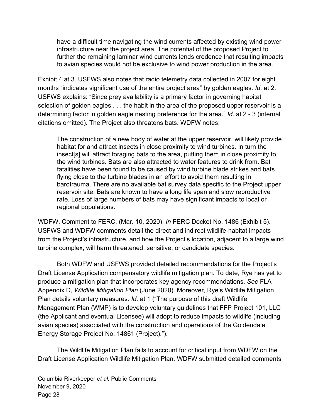have a difficult time navigating the wind currents affected by existing wind power infrastructure near the project area. The potential of the proposed Project to further the remaining laminar wind currents lends credence that resulting impacts to avian species would not be exclusive to wind power production in the area.

Exhibit 4 at 3. USFWS also notes that radio telemetry data collected in 2007 for eight months "indicates significant use of the entire project area" by golden eagles. *Id.* at 2. USFWS explains: "Since prey availability is a primary factor in governing habitat selection of golden eagles . . . the habit in the area of the proposed upper reservoir is a determining factor in golden eagle nesting preference for the area." *Id.* at 2 - 3 (internal citations omitted). The Project also threatens bats. WDFW notes:

The construction of a new body of water at the upper reservoir, will likely provide habitat for and attract insects in close proximity to wind turbines. In turn the insect[s] will attract foraging bats to the area, putting them in close proximity to the wind turbines. Bats are also attracted to water features to drink from. Bat fatalities have been found to be caused by wind turbine blade strikes and bats flying close to the turbine blades in an effort to avoid them resulting in barotrauma. There are no available bat survey data specific to the Project upper reservoir site. Bats are known to have a long life span and slow reproductive rate. Loss of large numbers of bats may have significant impacts to local or regional populations.

WDFW, Comment to FERC, (Mar. 10, 2020), *In* FERC Docket No. 1486 (Exhibit 5). USFWS and WDFW comments detail the direct and indirect wildlife-habitat impacts from the Project's infrastructure, and how the Project's location, adjacent to a large wind turbine complex, will harm threatened, sensitive, or candidate species.

Both WDFW and USFWS provided detailed recommendations for the Project's Draft License Application compensatory wildlife mitigation plan. To date, Rye has yet to produce a mitigation plan that incorporates key agency recommendations. *See* FLA Appendix D, *Wildlife Mitigation Plan* (June 2020). Moreover, Rye's Wildlife Mitigation Plan details voluntary measures. *Id.* at 1 ("The purpose of this draft Wildlife Management Plan (WMP) is to develop voluntary guidelines that FFP Project 101, LLC (the Applicant and eventual Licensee) will adopt to reduce impacts to wildlife (including avian species) associated with the construction and operations of the Goldendale Energy Storage Project No. 14861 (Project).").

The Wildlife Mitigation Plan fails to account for critical input from WDFW on the Draft License Application Wildlife Mitigation Plan. WDFW submitted detailed comments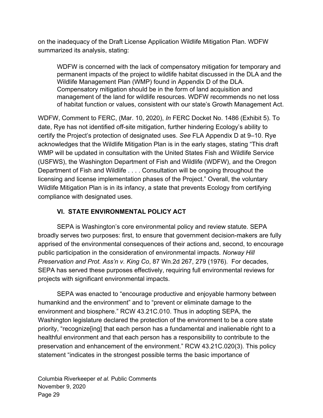on the inadequacy of the Draft License Application Wildlife Mitigation Plan. WDFW summarized its analysis, stating:

WDFW is concerned with the lack of compensatory mitigation for temporary and permanent impacts of the project to wildlife habitat discussed in the DLA and the Wildlife Management Plan (WMP) found in Appendix D of the DLA. Compensatory mitigation should be in the form of land acquisition and management of the land for wildlife resources. WDFW recommends no net loss of habitat function or values, consistent with our state's Growth Management Act.

WDFW, Comment to FERC, (Mar. 10, 2020), *In* FERC Docket No. 1486 (Exhibit 5). To date, Rye has not identified off-site mitigation, further hindering Ecology's ability to certify the Project's protection of designated uses. *See* FLA Appendix D at 9–10. Rye acknowledges that the Wildlife Mitigation Plan is in the early stages, stating "This draft WMP will be updated in consultation with the United States Fish and Wildlife Service (USFWS), the Washington Department of Fish and Wildlife (WDFW), and the Oregon Department of Fish and Wildlife . . . . Consultation will be ongoing throughout the licensing and license implementation phases of the Project." Overall, the voluntary Wildlife Mitigation Plan is in its infancy, a state that prevents Ecology from certifying compliance with designated uses.

#### **VI. STATE ENVIRONMENTAL POLICY ACT**

SEPA is Washington's core environmental policy and review statute. SEPA broadly serves two purposes: first, to ensure that government decision-makers are fully apprised of the environmental consequences of their actions and, second, to encourage public participation in the consideration of environmental impacts. *Norway Hill Preservation and Prot. Ass'n v. King Co*, 87 Wn.2d 267, 279 (1976). For decades, SEPA has served these purposes effectively, requiring full environmental reviews for projects with significant environmental impacts.

SEPA was enacted to "encourage productive and enjoyable harmony between humankind and the environment" and to "prevent or eliminate damage to the environment and biosphere." RCW 43.21C.010. Thus in adopting SEPA, the Washington legislature declared the protection of the environment to be a core state priority, "recognize[ing] that each person has a fundamental and inalienable right to a healthful environment and that each person has a responsibility to contribute to the preservation and enhancement of the environment." RCW 43.21C.020(3). This policy statement "indicates in the strongest possible terms the basic importance of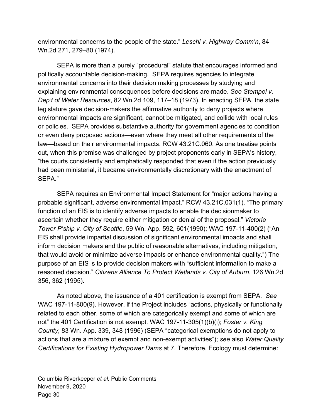environmental concerns to the people of the state." *Leschi v. Highway Comm'n*, 84 Wn.2d 271, 279–80 (1974).

SEPA is more than a purely "procedural" statute that encourages informed and politically accountable decision-making. SEPA requires agencies to integrate environmental concerns into their decision making processes by studying and explaining environmental consequences before decisions are made. *See Stempel v. Dep't of Water Resources*, 82 Wn.2d 109, 117–18 (1973). In enacting SEPA, the state legislature gave decision-makers the affirmative authority to deny projects where environmental impacts are significant, cannot be mitigated, and collide with local rules or policies. SEPA provides substantive authority for government agencies to condition or even deny proposed actions—even where they meet all other requirements of the law—based on their environmental impacts. RCW 43.21C.060. As one treatise points out, when this premise was challenged by project proponents early in SEPA's history, "the courts consistently and emphatically responded that even if the action previously had been ministerial, it became environmentally discretionary with the enactment of SEPA."

SEPA requires an Environmental Impact Statement for "major actions having a probable significant, adverse environmental impact." RCW 43.21C.031(1). "The primary function of an EIS is to identify adverse impacts to enable the decisionmaker to ascertain whether they require either mitigation or denial of the proposal." *Victoria Tower P'ship v. City of Seattle*, 59 Wn. App. 592, 601(1990); WAC 197-11-400(2) ("An EIS shall provide impartial discussion of significant environmental impacts and shall inform decision makers and the public of reasonable alternatives, including mitigation, that would avoid or minimize adverse impacts or enhance environmental quality.") The purpose of an EIS is to provide decision makers with "sufficient information to make a reasoned decision." *Citizens Alliance To Protect Wetlands v. City of Auburn*, 126 Wn.2d 356, 362 (1995).

As noted above, the issuance of a 401 certification is exempt from SEPA. *See* WAC 197-11-800(9). However, if the Project includes "actions, physically or functionally related to each other, some of which are categorically exempt and some of which are not" the 401 Certification is not exempt. WAC 197-11-305(1)(b)(i); *Foster v. King County*, 83 Wn. App. 339, 348 (1996) (SEPA "categorical exemptions do not apply to actions that are a mixture of exempt and non-exempt activities"); *see* also *Water Quality Certifications for Existing Hydropower Dams* at 7. Therefore, Ecology must determine: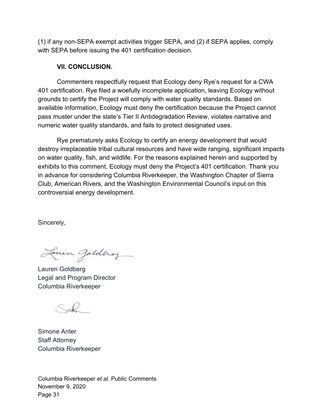(1) if any non-SEPA exempt activities trigger SEPA, and (2) if SEPA applies, comply with SEPA before issuing the 401 certification decision.

#### **VII. CONCLUSION.**

Commenters respectfully request that Ecology deny Rye's request for a CWA 401 certification. Rye filed a woefully incomplete application, leaving Ecology without grounds to certify the Project will comply with water quality standards. Based on available information, Ecology must deny the certification because the Project cannot pass muster under the state's Tier II Antidegradation Review, violates narrative and numeric water quality standards, and fails to protect designated uses.

Rye prematurely asks Ecology to certify an energy development that would destroy irreplaceable tribal cultural resources and have wide ranging, significant impacts on water quality, fish, and wildlife. For the reasons explained herein and supported by exhibits to this comment, Ecology must deny the Project's 401 certification. Thank you in advance for considering Columbia Riverkeeper, the Washington Chapter of Sierra Club, American Rivers, and the Washington Environmental Council's input on this controversial energy development.

Sincerely,

Laven Jolding

Lauren Goldberg Legal and Program Director Columbia Riverkeeper

 $SL$ 

Simone Anter Staff Attorney Columbia Riverkeeper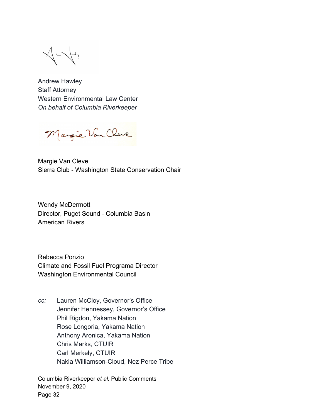Andrew Hawley Staff Attorney Western Environmental Law Center *On behalf of Columbia Riverkeeper*

Margie Van Cleve

Margie Van Cleve Sierra Club - Washington State Conservation Chair

Wendy McDermott Director, Puget Sound - Columbia Basin American Rivers

Rebecca Ponzio Climate and Fossil Fuel Programa Director Washington Environmental Council

*cc:* Lauren McCloy, Governor's Office Jennifer Hennessey, Governor's Office Phil Rigdon, Yakama Nation Rose Longoria, Yakama Nation Anthony Aronica, Yakama Nation Chris Marks, CTUIR Carl Merkely, CTUIR Nakia Williamson-Cloud, Nez Perce Tribe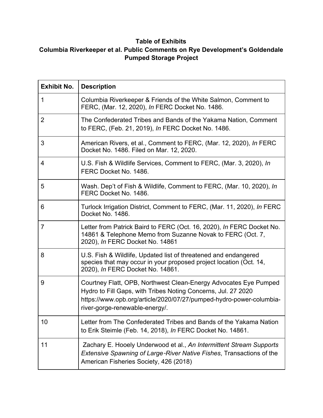#### **Table of Exhibits**

# **Columbia Riverkeeper et al. Public Comments on Rye Development's Goldendale Pumped Storage Project**

| <b>Exhibit No.</b> | <b>Description</b>                                                                                                                                                                                                                         |
|--------------------|--------------------------------------------------------------------------------------------------------------------------------------------------------------------------------------------------------------------------------------------|
| 1                  | Columbia Riverkeeper & Friends of the White Salmon, Comment to<br>FERC, (Mar. 12, 2020), In FERC Docket No. 1486.                                                                                                                          |
| $\overline{2}$     | The Confederated Tribes and Bands of the Yakama Nation, Comment<br>to FERC, (Feb. 21, 2019), In FERC Docket No. 1486.                                                                                                                      |
| 3                  | American Rivers, et al., Comment to FERC, (Mar. 12, 2020), In FERC<br>Docket No. 1486. Filed on Mar. 12, 2020.                                                                                                                             |
| 4                  | U.S. Fish & Wildlife Services, Comment to FERC, (Mar. 3, 2020), In<br>FERC Docket No. 1486.                                                                                                                                                |
| 5                  | Wash. Dep't of Fish & Wildlife, Comment to FERC, (Mar. 10, 2020), In<br>FERC Docket No. 1486.                                                                                                                                              |
| 6                  | Turlock Irrigation District, Comment to FERC, (Mar. 11, 2020), In FERC<br>Docket No. 1486.                                                                                                                                                 |
| 7                  | Letter from Patrick Baird to FERC (Oct. 16, 2020), In FERC Docket No.<br>14861 & Telephone Memo from Suzanne Novak to FERC (Oct. 7,<br>2020), In FERC Docket No. 14861                                                                     |
| 8                  | U.S. Fish & Wildlife, Updated list of threatened and endangered<br>species that may occur in your proposed project location (Oct. 14,<br>2020), In FERC Docket No. 14861.                                                                  |
| 9                  | Courtney Flatt, OPB, Northwest Clean-Energy Advocates Eye Pumped<br>Hydro to Fill Gaps, with Tribes Noting Concerns, Jul. 27 2020<br>https://www.opb.org/article/2020/07/27/pumped-hydro-power-columbia-<br>river-gorge-renewable-energy/. |
| 10                 | Letter from The Confederated Tribes and Bands of the Yakama Nation<br>to Erik Steimle (Feb. 14, 2018), In FERC Docket No. 14861.                                                                                                           |
| 11                 | Zachary E. Hooely Underwood et al., An Intermittent Stream Supports<br>Extensive Spawning of Large-River Native Fishes, Transactions of the<br>American Fisheries Society, 426 (2018)                                                      |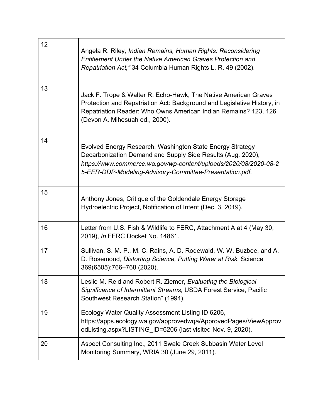| 12 | Angela R. Riley, Indian Remains, Human Rights: Reconsidering<br><b>Entitlement Under the Native American Graves Protection and</b><br>Repatriation Act," 34 Columbia Human Rights L. R. 49 (2002).                                                      |
|----|---------------------------------------------------------------------------------------------------------------------------------------------------------------------------------------------------------------------------------------------------------|
| 13 | Jack F. Trope & Walter R. Echo-Hawk, The Native American Graves<br>Protection and Repatriation Act: Background and Legislative History, in<br>Repatriation Reader: Who Owns American Indian Remains? 123, 126<br>(Devon A. Mihesuah ed., 2000).         |
| 14 | Evolved Energy Research, Washington State Energy Strategy<br>Decarbonization Demand and Supply Side Results (Aug. 2020),<br>https://www.commerce.wa.gov/wp-content/uploads/2020/08/2020-08-2<br>5-EER-DDP-Modeling-Advisory-Committee-Presentation.pdf. |
| 15 | Anthony Jones, Critique of the Goldendale Energy Storage<br>Hydroelectric Project, Notification of Intent (Dec. 3, 2019).                                                                                                                               |
| 16 | Letter from U.S. Fish & Wildlife to FERC, Attachment A at 4 (May 30,<br>2019), In FERC Docket No. 14861.                                                                                                                                                |
| 17 | Sullivan, S. M. P., M. C. Rains, A. D. Rodewald, W. W. Buzbee, and A.<br>D. Rosemond, Distorting Science, Putting Water at Risk. Science<br>369(6505):766-768 (2020).                                                                                   |
| 18 | Leslie M. Reid and Robert R. Ziemer, Evaluating the Biological<br>Significance of Intermittent Streams, USDA Forest Service, Pacific<br>Southwest Research Station" (1994).                                                                             |
| 19 | Ecology Water Quality Assessment Listing ID 6206,<br>https://apps.ecology.wa.gov/approvedwqa/ApprovedPages/ViewApprov<br>edListing.aspx?LISTING ID=6206 (last visited Nov. 9, 2020).                                                                    |
| 20 | Aspect Consulting Inc., 2011 Swale Creek Subbasin Water Level<br>Monitoring Summary, WRIA 30 (June 29, 2011).                                                                                                                                           |